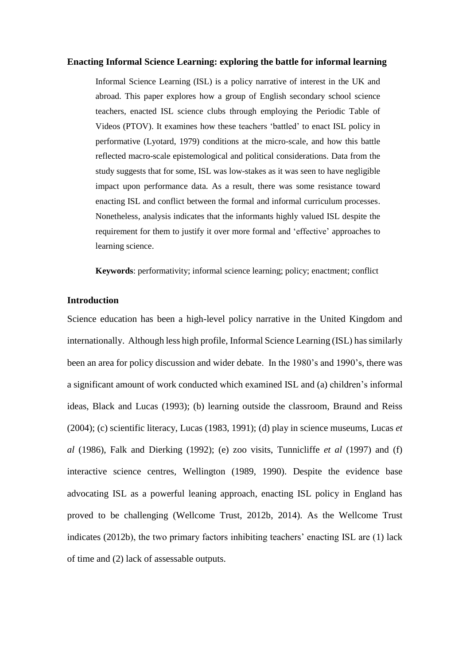#### **Enacting Informal Science Learning: exploring the battle for informal learning**

Informal Science Learning (ISL) is a policy narrative of interest in the UK and abroad. This paper explores how a group of English secondary school science teachers, enacted ISL science clubs through employing the Periodic Table of Videos (PTOV). It examines how these teachers 'battled' to enact ISL policy in performative (Lyotard, 1979) conditions at the micro-scale, and how this battle reflected macro-scale epistemological and political considerations. Data from the study suggests that for some, ISL was low-stakes as it was seen to have negligible impact upon performance data. As a result, there was some resistance toward enacting ISL and conflict between the formal and informal curriculum processes. Nonetheless, analysis indicates that the informants highly valued ISL despite the requirement for them to justify it over more formal and 'effective' approaches to learning science.

**Keywords**: performativity; informal science learning; policy; enactment; conflict

#### **Introduction**

Science education has been a high-level policy narrative in the United Kingdom and internationally. Although less high profile, Informal Science Learning (ISL) has similarly been an area for policy discussion and wider debate. In the 1980's and 1990's, there was a significant amount of work conducted which examined ISL and (a) children's informal ideas, Black and Lucas (1993); (b) learning outside the classroom, Braund and Reiss (2004); (c) scientific literacy, Lucas (1983, 1991); (d) play in science museums, Lucas *et al* (1986), Falk and Dierking (1992); (e) zoo visits, Tunnicliffe *et al* (1997) and (f) interactive science centres, Wellington (1989, 1990). Despite the evidence base advocating ISL as a powerful leaning approach, enacting ISL policy in England has proved to be challenging (Wellcome Trust, 2012b, 2014). As the Wellcome Trust indicates (2012b), the two primary factors inhibiting teachers' enacting ISL are (1) lack of time and (2) lack of assessable outputs.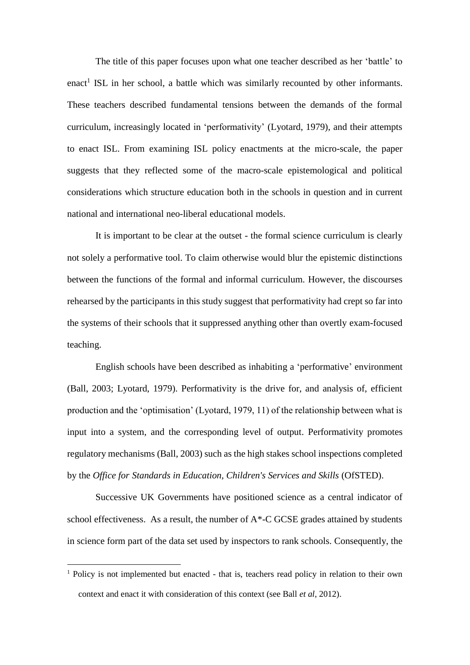The title of this paper focuses upon what one teacher described as her 'battle' to enact<sup>1</sup> ISL in her school, a battle which was similarly recounted by other informants. These teachers described fundamental tensions between the demands of the formal curriculum, increasingly located in 'performativity' (Lyotard, 1979), and their attempts to enact ISL. From examining ISL policy enactments at the micro-scale, the paper suggests that they reflected some of the macro-scale epistemological and political considerations which structure education both in the schools in question and in current national and international neo-liberal educational models.

It is important to be clear at the outset - the formal science curriculum is clearly not solely a performative tool. To claim otherwise would blur the epistemic distinctions between the functions of the formal and informal curriculum. However, the discourses rehearsed by the participants in this study suggest that performativity had crept so far into the systems of their schools that it suppressed anything other than overtly exam-focused teaching.

English schools have been described as inhabiting a 'performative' environment (Ball, 2003; Lyotard, 1979). Performativity is the drive for, and analysis of, efficient production and the 'optimisation' (Lyotard, 1979, 11) of the relationship between what is input into a system, and the corresponding level of output. Performativity promotes regulatory mechanisms (Ball, 2003) such as the high stakes school inspections completed by the *Office for Standards in Education, Children's Services and Skills* (OfSTED).

Successive UK Governments have positioned science as a central indicator of school effectiveness. As a result, the number of A\*-C GCSE grades attained by students in science form part of the data set used by inspectors to rank schools. Consequently, the

1

<sup>&</sup>lt;sup>1</sup> Policy is not implemented but enacted - that is, teachers read policy in relation to their own context and enact it with consideration of this context (see Ball *et al*, 2012).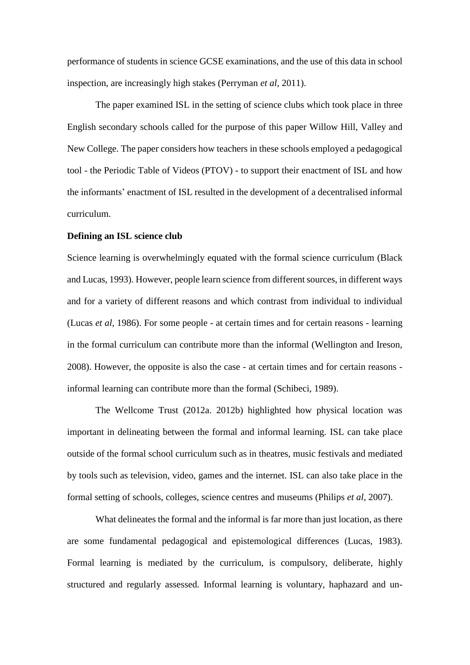performance of students in science GCSE examinations, and the use of this data in school inspection, are increasingly high stakes (Perryman *et al*, 2011).

The paper examined ISL in the setting of science clubs which took place in three English secondary schools called for the purpose of this paper Willow Hill, Valley and New College. The paper considers how teachers in these schools employed a pedagogical tool - the Periodic Table of Videos (PTOV) - to support their enactment of ISL and how the informants' enactment of ISL resulted in the development of a decentralised informal curriculum.

#### **Defining an ISL science club**

Science learning is overwhelmingly equated with the formal science curriculum (Black and Lucas, 1993). However, people learn science from different sources, in different ways and for a variety of different reasons and which contrast from individual to individual (Lucas *et al*, 1986). For some people - at certain times and for certain reasons - learning in the formal curriculum can contribute more than the informal (Wellington and Ireson, 2008). However, the opposite is also the case - at certain times and for certain reasons informal learning can contribute more than the formal (Schibeci, 1989).

The Wellcome Trust (2012a. 2012b) highlighted how physical location was important in delineating between the formal and informal learning. ISL can take place outside of the formal school curriculum such as in theatres, music festivals and mediated by tools such as television, video, games and the internet. ISL can also take place in the formal setting of schools, colleges, science centres and museums (Philips *et al*, 2007).

What delineates the formal and the informal is far more than just location, as there are some fundamental pedagogical and epistemological differences (Lucas, 1983). Formal learning is mediated by the curriculum, is compulsory, deliberate, highly structured and regularly assessed. Informal learning is voluntary, haphazard and un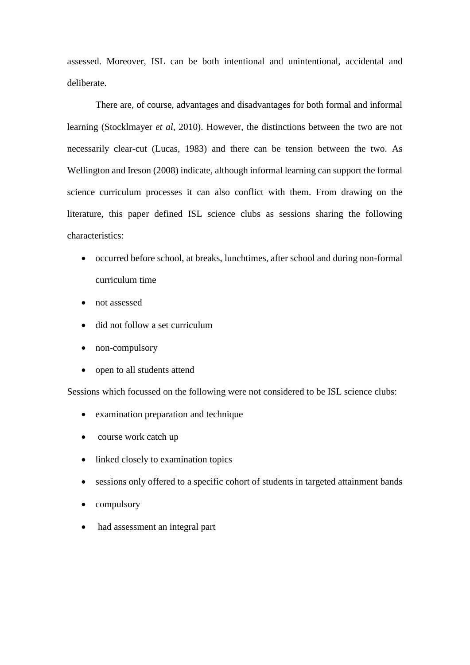assessed. Moreover, ISL can be both intentional and unintentional, accidental and deliberate.

There are, of course, advantages and disadvantages for both formal and informal learning (Stocklmayer *et al*, 2010). However, the distinctions between the two are not necessarily clear-cut (Lucas, 1983) and there can be tension between the two. As Wellington and Ireson (2008) indicate, although informal learning can support the formal science curriculum processes it can also conflict with them. From drawing on the literature, this paper defined ISL science clubs as sessions sharing the following characteristics:

- occurred before school, at breaks, lunchtimes, after school and during non-formal curriculum time
- not assessed
- did not follow a set curriculum
- non-compulsory
- open to all students attend

Sessions which focussed on the following were not considered to be ISL science clubs:

- examination preparation and technique
- course work catch up
- linked closely to examination topics
- sessions only offered to a specific cohort of students in targeted attainment bands
- compulsory
- had assessment an integral part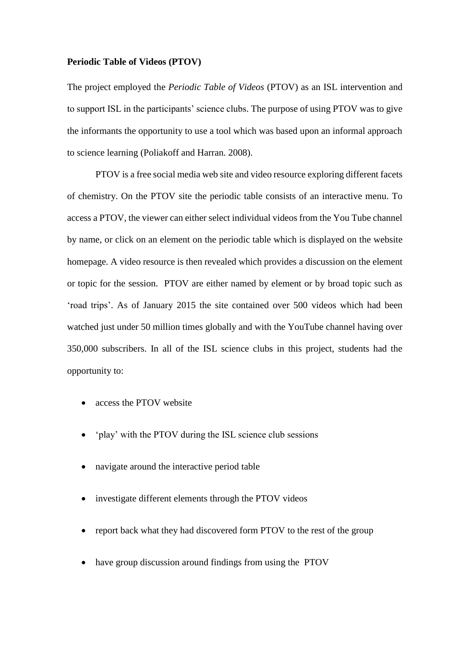#### **Periodic Table of Videos (PTOV)**

The project employed the *Periodic Table of Videos* (PTOV) as an ISL intervention and to support ISL in the participants' science clubs. The purpose of using PTOV was to give the informants the opportunity to use a tool which was based upon an informal approach to science learning (Poliakoff and Harran. 2008).

PTOV is a free social media web site and video resource exploring different facets of chemistry. On the PTOV site the periodic table consists of an interactive menu. To access a PTOV, the viewer can either select individual videos from the You Tube channel by name, or click on an element on the periodic table which is displayed on the website homepage. A video resource is then revealed which provides a discussion on the element or topic for the session. PTOV are either named by element or by broad topic such as 'road trips'. As of January 2015 the site contained over 500 videos which had been watched just under 50 million times globally and with the YouTube channel having over 350,000 subscribers. In all of the ISL science clubs in this project, students had the opportunity to:

- access the PTOV website
- 'play' with the PTOV during the ISL science club sessions
- navigate around the interactive period table
- investigate different elements through the PTOV videos
- report back what they had discovered form PTOV to the rest of the group
- have group discussion around findings from using the PTOV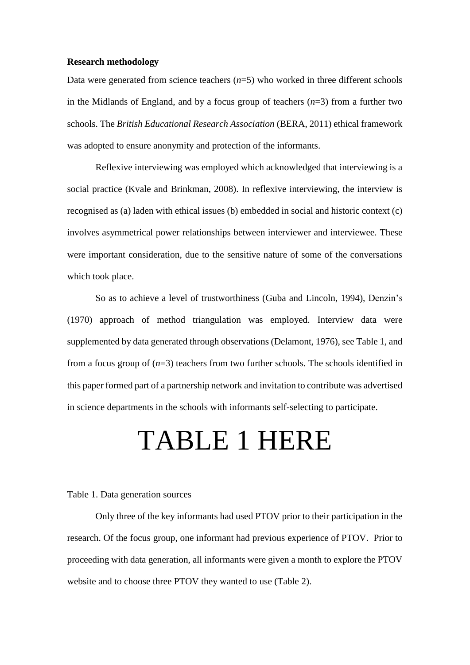#### **Research methodology**

Data were generated from science teachers (*n*=5) who worked in three different schools in the Midlands of England, and by a focus group of teachers (*n*=3) from a further two schools. The *British Educational Research Association* (BERA, 2011) ethical framework was adopted to ensure anonymity and protection of the informants.

Reflexive interviewing was employed which acknowledged that interviewing is a social practice (Kvale and Brinkman, 2008). In reflexive interviewing, the interview is recognised as (a) laden with ethical issues (b) embedded in social and historic context (c) involves asymmetrical power relationships between interviewer and interviewee. These were important consideration, due to the sensitive nature of some of the conversations which took place.

So as to achieve a level of trustworthiness (Guba and Lincoln, 1994), Denzin's (1970) approach of method triangulation was employed. Interview data were supplemented by data generated through observations (Delamont, 1976), see Table 1, and from a focus group of  $(n=3)$  teachers from two further schools. The schools identified in this paper formed part of a partnership network and invitation to contribute was advertised in science departments in the schools with informants self-selecting to participate.

### TABLE 1 HERE

#### Table 1. Data generation sources

Only three of the key informants had used PTOV prior to their participation in the research. Of the focus group, one informant had previous experience of PTOV. Prior to proceeding with data generation, all informants were given a month to explore the PTOV website and to choose three PTOV they wanted to use (Table 2).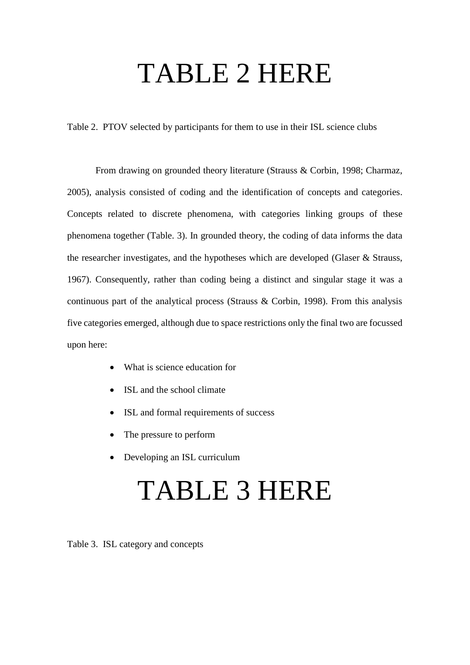## TABLE 2 HERE

Table 2. PTOV selected by participants for them to use in their ISL science clubs

From drawing on grounded theory literature (Strauss & Corbin, 1998; Charmaz, 2005), analysis consisted of coding and the identification of concepts and categories. Concepts related to discrete phenomena, with categories linking groups of these phenomena together (Table. 3). In grounded theory, the coding of data informs the data the researcher investigates, and the hypotheses which are developed (Glaser & Strauss, 1967). Consequently, rather than coding being a distinct and singular stage it was a continuous part of the analytical process (Strauss & Corbin, 1998). From this analysis five categories emerged, although due to space restrictions only the final two are focussed upon here:

- What is science education for
- ISL and the school climate
- ISL and formal requirements of success
- The pressure to perform
- Developing an ISL curriculum

# TABLE 3 HERE

Table 3. ISL category and concepts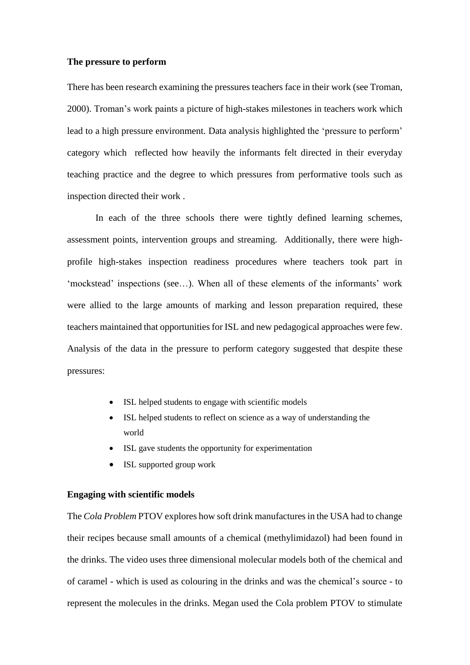#### **The pressure to perform**

There has been research examining the pressures teachers face in their work (see Troman, 2000). Troman's work paints a picture of high-stakes milestones in teachers work which lead to a high pressure environment. Data analysis highlighted the 'pressure to perform' category which reflected how heavily the informants felt directed in their everyday teaching practice and the degree to which pressures from performative tools such as inspection directed their work .

In each of the three schools there were tightly defined learning schemes, assessment points, intervention groups and streaming. Additionally, there were highprofile high-stakes inspection readiness procedures where teachers took part in 'mockstead' inspections (see…). When all of these elements of the informants' work were allied to the large amounts of marking and lesson preparation required, these teachers maintained that opportunities for ISL and new pedagogical approaches were few. Analysis of the data in the pressure to perform category suggested that despite these pressures:

- ISL helped students to engage with scientific models
- ISL helped students to reflect on science as a way of understanding the world
- ISL gave students the opportunity for experimentation
- ISL supported group work

#### **Engaging with scientific models**

The *Cola Problem* PTOV explores how soft drink manufactures in the USA had to change their recipes because small amounts of a chemical (methylimidazol) had been found in the drinks. The video uses three dimensional molecular models both of the chemical and of caramel - which is used as colouring in the drinks and was the chemical's source - to represent the molecules in the drinks. Megan used the Cola problem PTOV to stimulate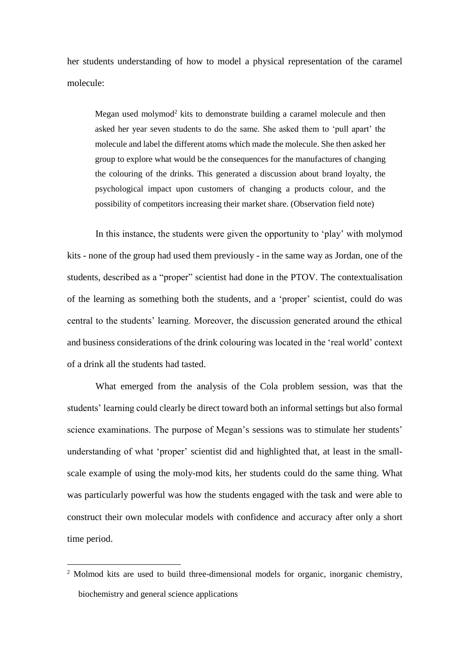her students understanding of how to model a physical representation of the caramel molecule:

Megan used molymod<sup>2</sup> kits to demonstrate building a caramel molecule and then asked her year seven students to do the same. She asked them to 'pull apart' the molecule and label the different atoms which made the molecule. She then asked her group to explore what would be the consequences for the manufactures of changing the colouring of the drinks. This generated a discussion about brand loyalty, the psychological impact upon customers of changing a products colour, and the possibility of competitors increasing their market share. (Observation field note)

In this instance, the students were given the opportunity to 'play' with molymod kits - none of the group had used them previously - in the same way as Jordan, one of the students, described as a "proper" scientist had done in the PTOV. The contextualisation of the learning as something both the students, and a 'proper' scientist, could do was central to the students' learning. Moreover, the discussion generated around the ethical and business considerations of the drink colouring was located in the 'real world' context of a drink all the students had tasted.

What emerged from the analysis of the Cola problem session, was that the students' learning could clearly be direct toward both an informal settings but also formal science examinations. The purpose of Megan's sessions was to stimulate her students' understanding of what 'proper' scientist did and highlighted that, at least in the smallscale example of using the moly-mod kits, her students could do the same thing. What was particularly powerful was how the students engaged with the task and were able to construct their own molecular models with confidence and accuracy after only a short time period.

1

<sup>&</sup>lt;sup>2</sup> Molmod kits are used to build three-dimensional models for organic, inorganic chemistry, biochemistry and general science applications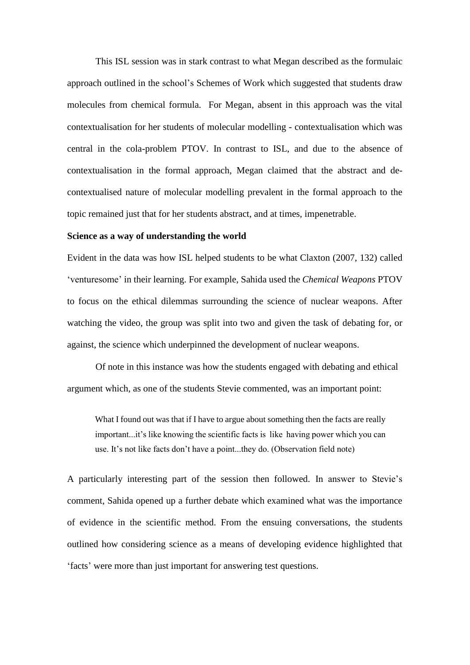This ISL session was in stark contrast to what Megan described as the formulaic approach outlined in the school's Schemes of Work which suggested that students draw molecules from chemical formula. For Megan, absent in this approach was the vital contextualisation for her students of molecular modelling - contextualisation which was central in the cola-problem PTOV. In contrast to ISL, and due to the absence of contextualisation in the formal approach, Megan claimed that the abstract and decontextualised nature of molecular modelling prevalent in the formal approach to the topic remained just that for her students abstract, and at times, impenetrable.

#### **Science as a way of understanding the world**

Evident in the data was how ISL helped students to be what Claxton (2007, 132) called 'venturesome' in their learning. For example, Sahida used the *Chemical Weapons* PTOV to focus on the ethical dilemmas surrounding the science of nuclear weapons. After watching the video, the group was split into two and given the task of debating for, or against, the science which underpinned the development of nuclear weapons.

Of note in this instance was how the students engaged with debating and ethical argument which, as one of the students Stevie commented, was an important point:

What I found out was that if I have to argue about something then the facts are really important...it's like knowing the scientific facts is like having power which you can use. It's not like facts don't have a point...they do. (Observation field note)

A particularly interesting part of the session then followed. In answer to Stevie's comment, Sahida opened up a further debate which examined what was the importance of evidence in the scientific method. From the ensuing conversations, the students outlined how considering science as a means of developing evidence highlighted that 'facts' were more than just important for answering test questions.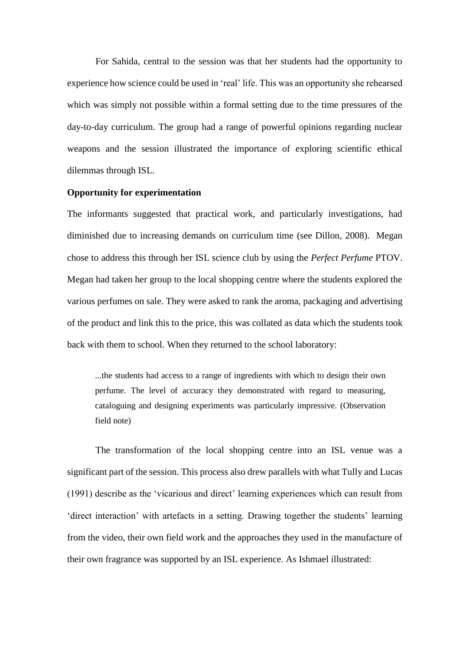For Sahida, central to the session was that her students had the opportunity to experience how science could be used in 'real' life. This was an opportunity she rehearsed which was simply not possible within a formal setting due to the time pressures of the day-to-day curriculum. The group had a range of powerful opinions regarding nuclear weapons and the session illustrated the importance of exploring scientific ethical dilemmas through ISL.

#### **Opportunity for experimentation**

The informants suggested that practical work, and particularly investigations, had diminished due to increasing demands on curriculum time (see Dillon, 2008). Megan chose to address this through her ISL science club by using the *Perfect Perfume* PTOV. Megan had taken her group to the local shopping centre where the students explored the various perfumes on sale. They were asked to rank the aroma, packaging and advertising of the product and link this to the price, this was collated as data which the students took back with them to school. When they returned to the school laboratory:

...the students had access to a range of ingredients with which to design their own perfume. The level of accuracy they demonstrated with regard to measuring, cataloguing and designing experiments was particularly impressive. (Observation field note)

The transformation of the local shopping centre into an ISL venue was a significant part of the session. This process also drew parallels with what Tully and Lucas (1991) describe as the 'vicarious and direct' learning experiences which can result from 'direct interaction' with artefacts in a setting. Drawing together the students' learning from the video, their own field work and the approaches they used in the manufacture of their own fragrance was supported by an ISL experience. As Ishmael illustrated: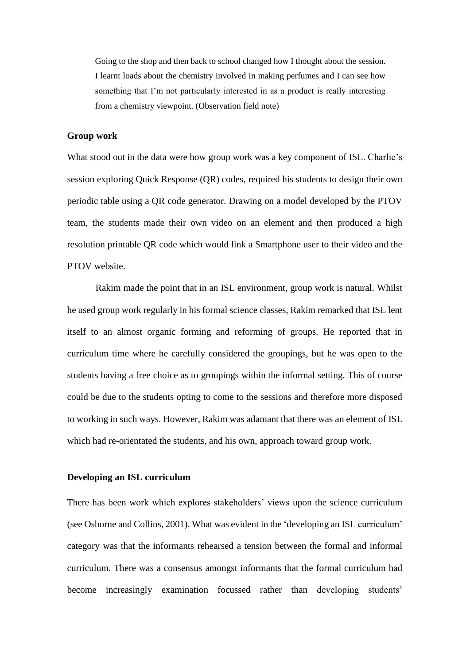Going to the shop and then back to school changed how I thought about the session. I learnt loads about the chemistry involved in making perfumes and I can see how something that I'm not particularly interested in as a product is really interesting from a chemistry viewpoint. (Observation field note)

#### **Group work**

What stood out in the data were how group work was a key component of ISL. Charlie's session exploring Quick Response (QR) codes, required his students to design their own periodic table using a QR code generator. Drawing on a model developed by the PTOV team, the students made their own video on an element and then produced a high resolution printable QR code which would link a Smartphone user to their video and the PTOV website.

Rakim made the point that in an ISL environment, group work is natural. Whilst he used group work regularly in his formal science classes, Rakim remarked that ISL lent itself to an almost organic forming and reforming of groups. He reported that in curriculum time where he carefully considered the groupings, but he was open to the students having a free choice as to groupings within the informal setting. This of course could be due to the students opting to come to the sessions and therefore more disposed to working in such ways. However, Rakim was adamant that there was an element of ISL which had re-orientated the students, and his own, approach toward group work.

#### **Developing an ISL curriculum**

There has been work which explores stakeholders' views upon the science curriculum (see Osborne and Collins, 2001). What was evident in the 'developing an ISL curriculum' category was that the informants rehearsed a tension between the formal and informal curriculum. There was a consensus amongst informants that the formal curriculum had become increasingly examination focussed rather than developing students'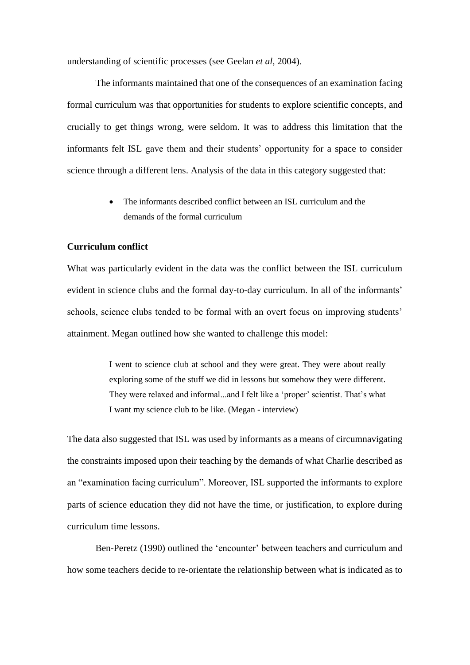understanding of scientific processes (see Geelan *et al*, 2004).

The informants maintained that one of the consequences of an examination facing formal curriculum was that opportunities for students to explore scientific concepts, and crucially to get things wrong, were seldom. It was to address this limitation that the informants felt ISL gave them and their students' opportunity for a space to consider science through a different lens. Analysis of the data in this category suggested that:

> • The informants described conflict between an ISL curriculum and the demands of the formal curriculum

#### **Curriculum conflict**

What was particularly evident in the data was the conflict between the ISL curriculum evident in science clubs and the formal day-to-day curriculum. In all of the informants' schools, science clubs tended to be formal with an overt focus on improving students' attainment. Megan outlined how she wanted to challenge this model:

> I went to science club at school and they were great. They were about really exploring some of the stuff we did in lessons but somehow they were different. They were relaxed and informal...and I felt like a 'proper' scientist. That's what I want my science club to be like. (Megan - interview)

The data also suggested that ISL was used by informants as a means of circumnavigating the constraints imposed upon their teaching by the demands of what Charlie described as an "examination facing curriculum". Moreover, ISL supported the informants to explore parts of science education they did not have the time, or justification, to explore during curriculum time lessons.

Ben-Peretz (1990) outlined the 'encounter' between teachers and curriculum and how some teachers decide to re-orientate the relationship between what is indicated as to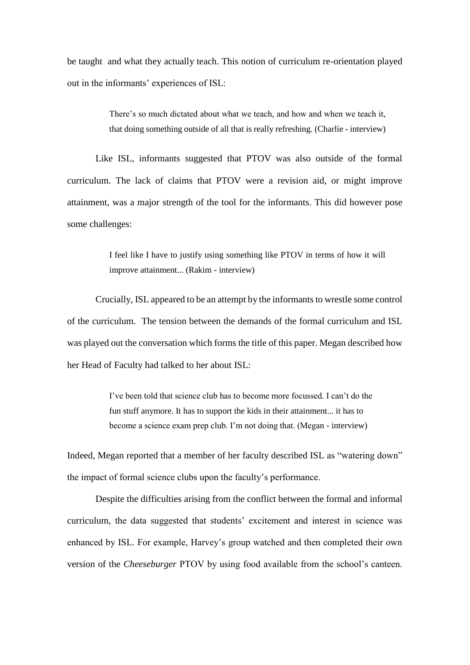be taught and what they actually teach. This notion of curriculum re-orientation played out in the informants' experiences of ISL:

> There's so much dictated about what we teach, and how and when we teach it, that doing something outside of all that is really refreshing. (Charlie - interview)

Like ISL, informants suggested that PTOV was also outside of the formal curriculum. The lack of claims that PTOV were a revision aid, or might improve attainment, was a major strength of the tool for the informants. This did however pose some challenges:

> I feel like I have to justify using something like PTOV in terms of how it will improve attainment... (Rakim - interview)

Crucially, ISL appeared to be an attempt by the informants to wrestle some control of the curriculum. The tension between the demands of the formal curriculum and ISL was played out the conversation which forms the title of this paper. Megan described how her Head of Faculty had talked to her about ISL:

> I've been told that science club has to become more focussed. I can't do the fun stuff anymore. It has to support the kids in their attainment... it has to become a science exam prep club. I'm not doing that. (Megan - interview)

Indeed, Megan reported that a member of her faculty described ISL as "watering down" the impact of formal science clubs upon the faculty's performance.

Despite the difficulties arising from the conflict between the formal and informal curriculum, the data suggested that students' excitement and interest in science was enhanced by ISL. For example, Harvey's group watched and then completed their own version of the *Cheeseburger* PTOV by using food available from the school's canteen.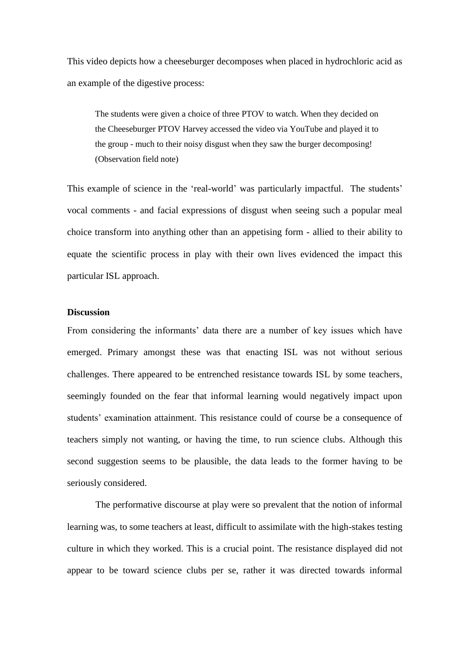This video depicts how a cheeseburger decomposes when placed in hydrochloric acid as an example of the digestive process:

The students were given a choice of three PTOV to watch. When they decided on the Cheeseburger PTOV Harvey accessed the video via YouTube and played it to the group - much to their noisy disgust when they saw the burger decomposing! (Observation field note)

This example of science in the 'real-world' was particularly impactful. The students' vocal comments - and facial expressions of disgust when seeing such a popular meal choice transform into anything other than an appetising form - allied to their ability to equate the scientific process in play with their own lives evidenced the impact this particular ISL approach.

#### **Discussion**

From considering the informants' data there are a number of key issues which have emerged. Primary amongst these was that enacting ISL was not without serious challenges. There appeared to be entrenched resistance towards ISL by some teachers, seemingly founded on the fear that informal learning would negatively impact upon students' examination attainment. This resistance could of course be a consequence of teachers simply not wanting, or having the time, to run science clubs. Although this second suggestion seems to be plausible, the data leads to the former having to be seriously considered.

The performative discourse at play were so prevalent that the notion of informal learning was, to some teachers at least, difficult to assimilate with the high-stakes testing culture in which they worked. This is a crucial point. The resistance displayed did not appear to be toward science clubs per se, rather it was directed towards informal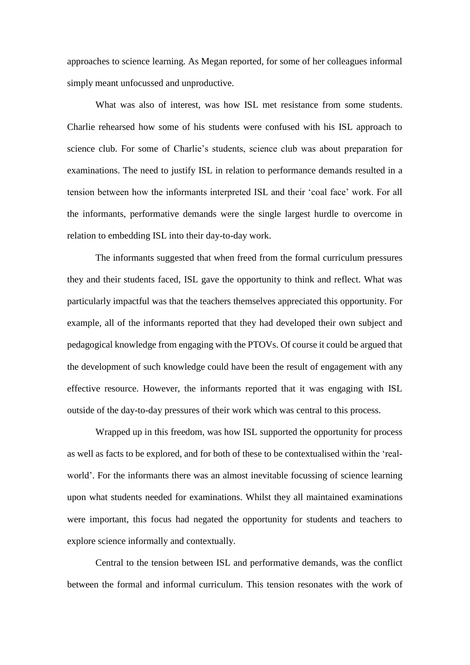approaches to science learning. As Megan reported, for some of her colleagues informal simply meant unfocussed and unproductive.

What was also of interest, was how ISL met resistance from some students. Charlie rehearsed how some of his students were confused with his ISL approach to science club. For some of Charlie's students, science club was about preparation for examinations. The need to justify ISL in relation to performance demands resulted in a tension between how the informants interpreted ISL and their 'coal face' work. For all the informants, performative demands were the single largest hurdle to overcome in relation to embedding ISL into their day-to-day work.

The informants suggested that when freed from the formal curriculum pressures they and their students faced, ISL gave the opportunity to think and reflect. What was particularly impactful was that the teachers themselves appreciated this opportunity. For example, all of the informants reported that they had developed their own subject and pedagogical knowledge from engaging with the PTOVs. Of course it could be argued that the development of such knowledge could have been the result of engagement with any effective resource. However, the informants reported that it was engaging with ISL outside of the day-to-day pressures of their work which was central to this process.

Wrapped up in this freedom, was how ISL supported the opportunity for process as well as facts to be explored, and for both of these to be contextualised within the 'realworld'. For the informants there was an almost inevitable focussing of science learning upon what students needed for examinations. Whilst they all maintained examinations were important, this focus had negated the opportunity for students and teachers to explore science informally and contextually.

Central to the tension between ISL and performative demands, was the conflict between the formal and informal curriculum. This tension resonates with the work of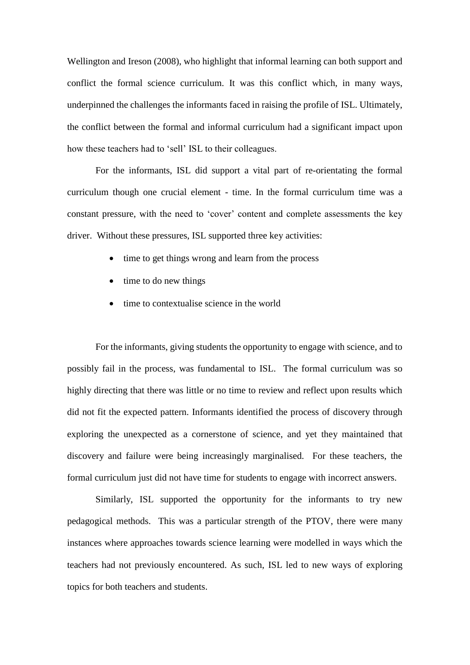Wellington and Ireson (2008), who highlight that informal learning can both support and conflict the formal science curriculum. It was this conflict which, in many ways, underpinned the challenges the informants faced in raising the profile of ISL. Ultimately, the conflict between the formal and informal curriculum had a significant impact upon how these teachers had to 'sell' ISL to their colleagues.

For the informants, ISL did support a vital part of re-orientating the formal curriculum though one crucial element - time. In the formal curriculum time was a constant pressure, with the need to 'cover' content and complete assessments the key driver. Without these pressures, ISL supported three key activities:

- time to get things wrong and learn from the process
- $\bullet$  time to do new things
- time to contextualise science in the world

For the informants, giving students the opportunity to engage with science, and to possibly fail in the process, was fundamental to ISL. The formal curriculum was so highly directing that there was little or no time to review and reflect upon results which did not fit the expected pattern. Informants identified the process of discovery through exploring the unexpected as a cornerstone of science, and yet they maintained that discovery and failure were being increasingly marginalised. For these teachers, the formal curriculum just did not have time for students to engage with incorrect answers.

Similarly, ISL supported the opportunity for the informants to try new pedagogical methods. This was a particular strength of the PTOV, there were many instances where approaches towards science learning were modelled in ways which the teachers had not previously encountered. As such, ISL led to new ways of exploring topics for both teachers and students.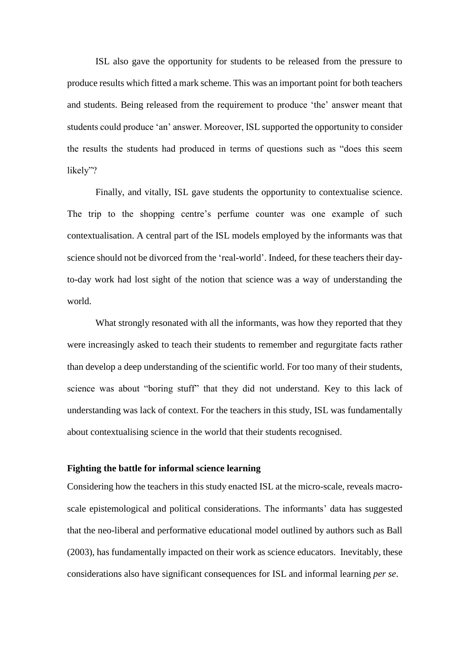ISL also gave the opportunity for students to be released from the pressure to produce results which fitted a mark scheme. This was an important point for both teachers and students. Being released from the requirement to produce 'the' answer meant that students could produce 'an' answer. Moreover, ISL supported the opportunity to consider the results the students had produced in terms of questions such as "does this seem likely"?

Finally, and vitally, ISL gave students the opportunity to contextualise science. The trip to the shopping centre's perfume counter was one example of such contextualisation. A central part of the ISL models employed by the informants was that science should not be divorced from the 'real-world'. Indeed, for these teachers their dayto-day work had lost sight of the notion that science was a way of understanding the world.

What strongly resonated with all the informants, was how they reported that they were increasingly asked to teach their students to remember and regurgitate facts rather than develop a deep understanding of the scientific world. For too many of their students, science was about "boring stuff" that they did not understand. Key to this lack of understanding was lack of context. For the teachers in this study, ISL was fundamentally about contextualising science in the world that their students recognised.

#### **Fighting the battle for informal science learning**

Considering how the teachers in this study enacted ISL at the micro-scale, reveals macroscale epistemological and political considerations. The informants' data has suggested that the neo-liberal and performative educational model outlined by authors such as Ball (2003), has fundamentally impacted on their work as science educators. Inevitably, these considerations also have significant consequences for ISL and informal learning *per se*.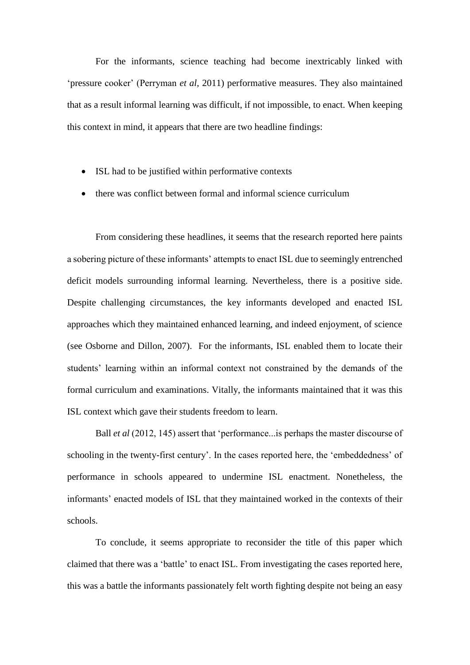For the informants, science teaching had become inextricably linked with 'pressure cooker' (Perryman *et al*, 2011) performative measures. They also maintained that as a result informal learning was difficult, if not impossible, to enact. When keeping this context in mind, it appears that there are two headline findings:

- ISL had to be justified within performative contexts
- there was conflict between formal and informal science curriculum

From considering these headlines, it seems that the research reported here paints a sobering picture of these informants' attempts to enact ISL due to seemingly entrenched deficit models surrounding informal learning. Nevertheless, there is a positive side. Despite challenging circumstances, the key informants developed and enacted ISL approaches which they maintained enhanced learning, and indeed enjoyment, of science (see Osborne and Dillon, 2007). For the informants, ISL enabled them to locate their students' learning within an informal context not constrained by the demands of the formal curriculum and examinations. Vitally, the informants maintained that it was this ISL context which gave their students freedom to learn.

Ball *et al* (2012, 145) assert that 'performance...is perhaps the master discourse of schooling in the twenty-first century'. In the cases reported here, the 'embeddedness' of performance in schools appeared to undermine ISL enactment. Nonetheless, the informants' enacted models of ISL that they maintained worked in the contexts of their schools.

To conclude, it seems appropriate to reconsider the title of this paper which claimed that there was a 'battle' to enact ISL. From investigating the cases reported here, this was a battle the informants passionately felt worth fighting despite not being an easy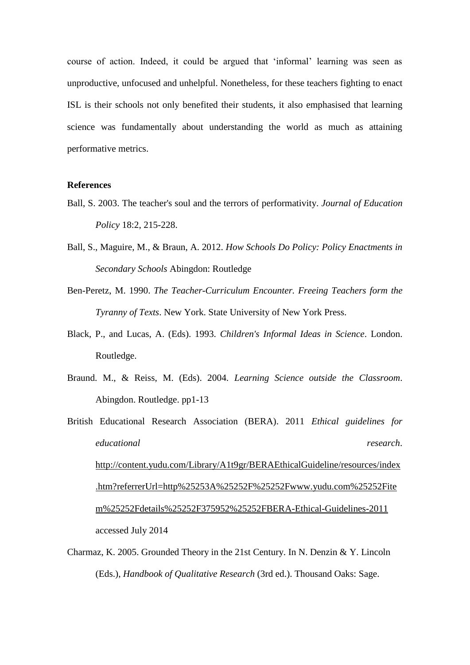course of action. Indeed, it could be argued that 'informal' learning was seen as unproductive, unfocused and unhelpful. Nonetheless, for these teachers fighting to enact ISL is their schools not only benefited their students, it also emphasised that learning science was fundamentally about understanding the world as much as attaining performative metrics.

#### **References**

- Ball, S. 2003. The teacher's soul and the terrors of performativity. *Journal of Education Policy* 18:2, 215-228.
- Ball, S., Maguire, M., & Braun, A. 2012. *How Schools Do Policy: Policy Enactments in Secondary Schools* Abingdon: Routledge
- Ben-Peretz, M. 1990. *The Teacher-Curriculum Encounter. Freeing Teachers form the Tyranny of Texts*. New York. State University of New York Press.
- Black, P., and Lucas, A. (Eds). 1993. *Children's Informal Ideas in Science*. London. Routledge.
- Braund. M., & Reiss, M. (Eds). 2004. *Learning Science outside the Classroom*. Abingdon. Routledge. pp1-13
- British Educational Research Association (BERA). 2011 *Ethical guidelines for educational research*. [http://content.yudu.com/Library/A1t9gr/BERAEthicalGuideline/resources/index](http://content.yudu.com/Library/A1t9gr/BERAEthicalGuideline/resources/index.htm?referrerUrl=http%25253A%25252F%25252Fwww.yudu.com%25252Fitem%25252Fdetails%25252F375952%25252FBERA-Ethical-Guidelines-2011) [.htm?referrerUrl=http%25253A%25252F%25252Fwww.yudu.com%25252Fite](http://content.yudu.com/Library/A1t9gr/BERAEthicalGuideline/resources/index.htm?referrerUrl=http%25253A%25252F%25252Fwww.yudu.com%25252Fitem%25252Fdetails%25252F375952%25252FBERA-Ethical-Guidelines-2011) [m%25252Fdetails%25252F375952%25252FBERA-Ethical-Guidelines-2011](http://content.yudu.com/Library/A1t9gr/BERAEthicalGuideline/resources/index.htm?referrerUrl=http%25253A%25252F%25252Fwww.yudu.com%25252Fitem%25252Fdetails%25252F375952%25252FBERA-Ethical-Guidelines-2011) accessed July 2014
- Charmaz, K. 2005. Grounded Theory in the 21st Century. In N. Denzin & Y. Lincoln (Eds.), *Handbook of Qualitative Research* (3rd ed.). Thousand Oaks: Sage.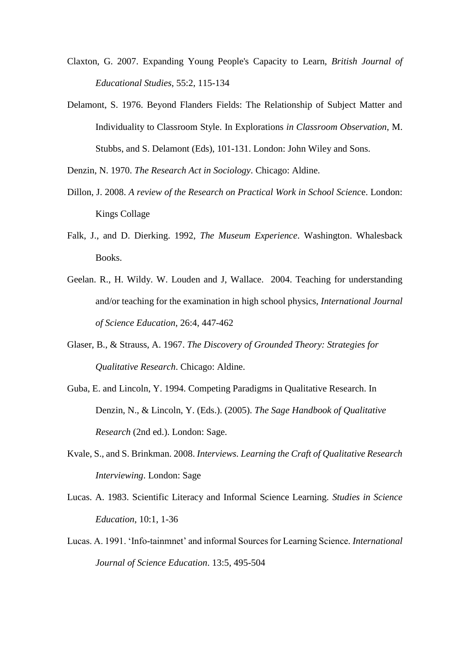- Claxton, G. 2007. Expanding Young People's Capacity to Learn, *British Journal of Educational Studies*, 55:2, 115-134
- Delamont, S. 1976. Beyond Flanders Fields: The Relationship of Subject Matter and Individuality to Classroom Style. In Explorations *in Classroom Observation*, M. Stubbs, and S. Delamont (Eds), 101-131. London: John Wiley and Sons.

Denzin, N. 1970. *The Research Act in Sociology*. Chicago: Aldine.

- Dillon, J. 2008. *A review of the Research on Practical Work in School Scienc*e. London: Kings Collage
- Falk, J., and D. Dierking. 1992, *The Museum Experience*. Washington. Whalesback Books.
- Geelan. R., H. Wildy. W. Louden and J, Wallace. 2004. Teaching for understanding and/or teaching for the examination in high school physics, *International Journal of Science Education*, 26:4, 447-462
- Glaser, B., & Strauss, A. 1967. *The Discovery of Grounded Theory: Strategies for Qualitative Research*. Chicago: Aldine.
- Guba, E. and Lincoln, Y. 1994. Competing Paradigms in Qualitative Research. In Denzin, N., & Lincoln, Y. (Eds.). (2005). *The Sage Handbook of Qualitative Research* (2nd ed.). London: Sage.
- Kvale, S., and S. Brinkman. 2008. *Interviews. Learning the Craft of Qualitative Research Interviewing*. London: Sage
- Lucas. A. 1983. Scientific Literacy and Informal Science Learning. *Studies in Science Education*, 10:1, 1-36
- Lucas. A. 1991. 'Info-tainmnet' and informal Sources for Learning Science*. International Journal of Science Education*. 13:5, 495-504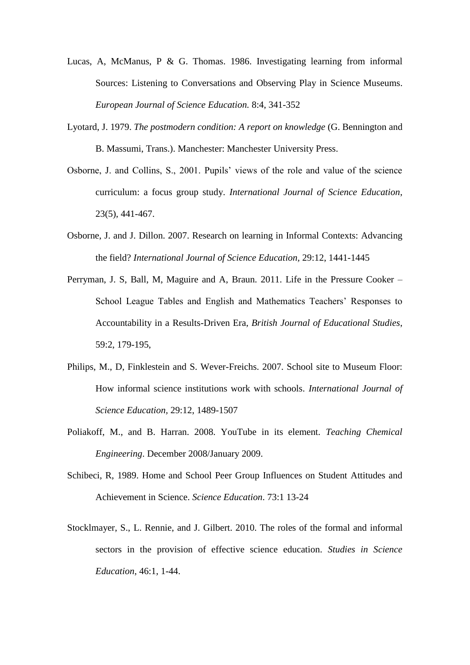- Lucas, A, McManus, P & G. Thomas. 1986. [Investigating learning from informal](http://www.tandfonline.com/doi/full/10.1080/0140528860080401#abstract)  [Sources: Listening to Conversations and Observing Play in Science Museums.](http://www.tandfonline.com/doi/full/10.1080/0140528860080401#abstract) *European Journal of Science Education.* 8:4, 341-352
- Lyotard, J. 1979. *The postmodern condition: A report on knowledge* (G. Bennington and B. Massumi, Trans.). Manchester: Manchester University Press.
- Osborne, J. and Collins, S., 2001. Pupils' views of the role and value of the science curriculum: a focus group study. *International Journal of Science Education*, 23(5), 441-467.
- Osborne, J. and J. Dillon. 2007. Research on learning in Informal Contexts: Advancing the field? *International Journal of Science Education,* 29:12, 1441-1445
- Perryman, J. S, Ball, M, Maguire and A, Braun. 2011. Life in the Pressure Cooker School League Tables and English and Mathematics Teachers' Responses to Accountability in a Results-Driven Era, *British Journal of Educational Studies*, 59:2, 179-195,
- Philips, M., D, Finklestein and S. Wever-Freichs. 2007. School site to Museum Floor: How informal science institutions work with schools. *International Journal of Science Education,* 29:12, 1489-1507
- Poliakoff, M., and B. Harran. 2008. YouTube in its element. *Teaching Chemical Engineering*. December 2008/January 2009.
- Schibeci, R, 1989. Home and School Peer Group Influences on Student Attitudes and Achievement in Science. *Science Education*. 73:1 13-24
- Stocklmayer, S., L. Rennie, and J. Gilbert. 2010. The roles of the formal and informal sectors in the provision of effective science education. *Studies in Science Education*, 46:1, 1-44.